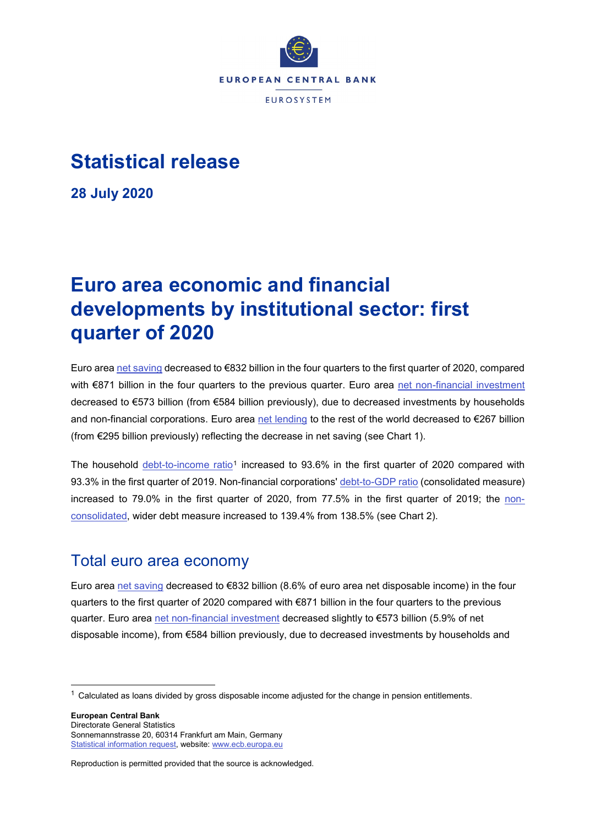

## **Statistical release**

**28 July 2020**

# **Euro area economic and financial developments by institutional sector: first quarter of 2020**

Euro area [net saving](https://sdw.ecb.europa.eu/quickview.do?SERIES_KEY=332.QSA.Q.N.I8.W0.S1.S1._Z.B.B8N._Z._Z._Z.XDC._T.S.V.C4._T) decreased to €832 billion in the four quarters to the first quarter of 2020, compared with €871 billion in the four quarters to the previous quarter. Euro area [net non-financial investment](https://sdw.ecb.europa.eu/quickview.do?SERIES_KEY=332.QSA.Q.N.I8.W0.S1.S1.N.D.P5LN._Z._Z._Z.XDC._T.S.V.C4._T) decreased to €573 billion (from €584 billion previously), due to decreased investments by households and non-financial corporations. Euro area [net lending](http://sdw.ecb.europa.eu/quickview.do?SERIES_KEY=332.QSA.Q.N.I8.W0.S1.S1._Z.B.B9._Z._Z._Z.XDC._T.S.V.N._T) to the rest of the world decreased to €267 billion (from €295 billion previously) reflecting the decrease in net saving (see Chart 1).

The household [debt-to-income ratio](https://sdw.ecb.europa.eu/quickview.do?SERIES_KEY=332.QSA.Q.N.I8.W0.S1M.S1.N.L.LE.F4.T._Z.XDC_R_B6GA_CY._T.S.V.N._T)<sup>[1](#page-0-0)</sup> increased to 93.6% in the first quarter of 2020 compared with 93.3% in the first quarter of 2019. Non-financial corporations' [debt-to-GDP ratio](https://sdw.ecb.europa.eu/quickview.do?SERIES_KEY=332.QSA.Q.N.I8.W0.S11.S1.C.L.LE.F3T4.T._Z.XDC_R_B1GQ_CY._T.S.V.N._T) (consolidated measure) increased to 79.0% in the first quarter of 2020, from 77.5% in the first quarter of 2019; the [non](https://sdw.ecb.europa.eu/quickview.do?SERIES_KEY=332.QSA.Q.N.I8.W0.S11.S1.N.L.LE.FPT.T._Z.XDC_R_B1GQ_CY._T.S.V.N._T)[consolidated,](https://sdw.ecb.europa.eu/quickview.do?SERIES_KEY=332.QSA.Q.N.I8.W0.S11.S1.N.L.LE.FPT.T._Z.XDC_R_B1GQ_CY._T.S.V.N._T) wider debt measure increased to 139.4% from 138.5% (see Chart 2).

### Total euro area economy

Euro area [net saving](https://sdw.ecb.europa.eu/quickview.do?SERIES_KEY=332.QSA.Q.N.I8.W0.S1.S1._Z.B.B8N._Z._Z._Z.XDC._T.S.V.C4._T) decreased to €832 billion (8.6% of euro area net disposable income) in the four quarters to the first quarter of 2020 compared with €871 billion in the four quarters to the previous quarter. Euro area [net non-financial investment](https://sdw.ecb.europa.eu/quickview.do?SERIES_KEY=332.QSA.Q.N.I8.W0.S1.S1.N.D.P5LN._Z._Z._Z.XDC._T.S.V.C4._T) decreased slightly to €573 billion (5.9% of net disposable income), from €584 billion previously, due to decreased investments by households and

**European Central Bank** Directorate General Statistics Sonnemannstrasse 20, 60314 Frankfurt am Main, Germany [Statistical information request,](https://ecb-registration.escb.eu/statistical-information) website: [www.ecb.europa.eu](http://www.ecb.europa.eu/)

<span id="page-0-0"></span> $1$  Calculated as loans divided by gross disposable income adjusted for the change in pension entitlements.

Reproduction is permitted provided that the source is acknowledged.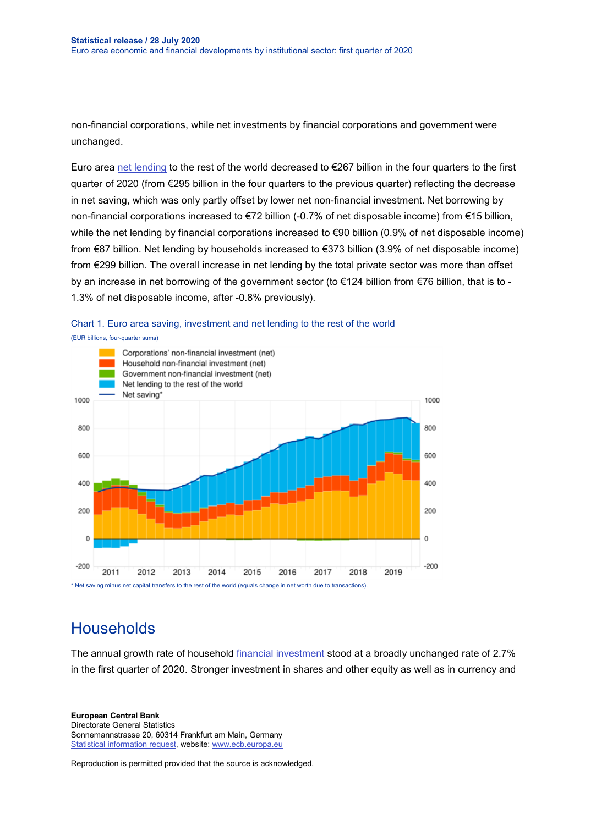non-financial corporations, while net investments by financial corporations and government were unchanged.

Euro area [net lending](http://sdw.ecb.europa.eu/quickview.do?SERIES_KEY=332.QSA.Q.N.I8.W0.S1.S1._Z.B.B9._Z._Z._Z.XDC._T.S.V.N._T) to the rest of the world decreased to €267 billion in the four quarters to the first quarter of 2020 (from €295 billion in the four quarters to the previous quarter) reflecting the decrease in net saving, which was only partly offset by lower net non-financial investment. Net borrowing by non-financial corporations increased to €72 billion (-0.7% of net disposable income) from €15 billion, while the net lending by financial corporations increased to €90 billion (0.9% of net disposable income) from €87 billion. Net lending by households increased to €373 billion (3.9% of net disposable income) from €299 billion. The overall increase in net lending by the total private sector was more than offset by an increase in net borrowing of the government sector (to €124 billion from €76 billion, that is to - 1.3% of net disposable income, after -0.8% previously).



#### Chart 1. Euro area saving, investment and net lending to the rest of the world

**Households** 

The annual growth rate of household [financial investment](http://sdw.ecb.europa.eu/browseTable.do?dc=&type=series&cv=&ec=&rc=&node=SEARCHRESULTS&oc=&df=&q=QSA.Q.N.I8.W0.S1M.S1.N.A.F.F._Z._Z.XDC._T.S.V.N._T%20QSA.Q.N.I8.W0.S1M.S1.N.A.LE.F._Z._Z.XDC._T.S.V.N._T&pb=&SERIES_KEY=332.QSA.Q.N.I8.W0.S1M.S1.N.A.F.F._Z._Z.XDC._T.S.V.N._T&SERIES_KEY=332.QSA.Q.N.I8.W0.S1M.S1.N.A.LE.F._Z._Z.XDC._T.S.V.N._T) stood at a broadly unchanged rate of 2.7% in the first quarter of 2020. Stronger investment in shares and other equity as well as in currency and

**European Central Bank** Directorate General Statistics Sonnemannstrasse 20, 60314 Frankfurt am Main, Germany [Statistical information request,](https://ecb-registration.escb.eu/statistical-information) website: [www.ecb.europa.eu](http://www.ecb.europa.eu/)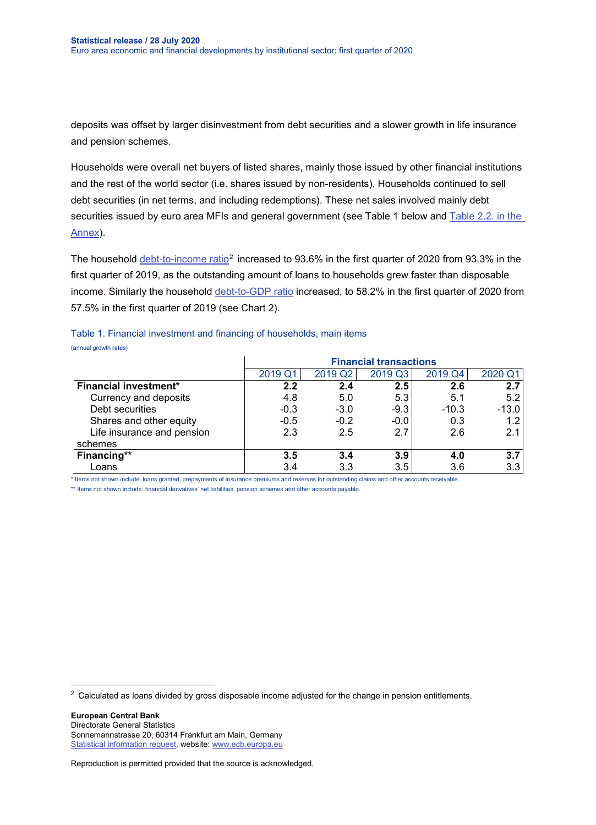deposits was offset by larger disinvestment from debt securities and a slower growth in life insurance and pension schemes.

Households were overall net buyers of listed shares, mainly those issued by other financial institutions and the rest of the world sector (i.e. shares issued by non-residents). Households continued to sell debt securities (in net terms, and including redemptions). These net sales involved mainly debt securities issued by euro area MFIs and general government (see Table 1 below and Table 2.2. in the [Annex\)](http://sdw.ecb.europa.eu/web/generator/prl/pr_qsa_0201_2020q1.pdf).

The household [debt-to-income ratio](https://sdw.ecb.europa.eu/quickview.do?SERIES_KEY=332.QSA.Q.N.I8.W0.S1M.S1.N.L.LE.F4.T._Z.XDC_R_B6GA_CY._T.S.V.N._T)<sup>[2](#page-2-0)</sup> increased to 93.6% in the first quarter of 2020 from 93.3% in the first quarter of 2019, as the outstanding amount of loans to households grew faster than disposable income. Similarly the household [debt-to-GDP ratio](https://sdw.ecb.europa.eu/quickview.do?SERIES_KEY=332.QSA.Q.N.I8.W0.S1M.S1.N.L.LE.F4.T._Z.XDC_R_B1GQ_CY._T.S.V.N._T) increased, to 58.2% in the first quarter of 2020 from 57.5% in the first quarter of 2019 (see Chart 2).

|                              | <b>Financial transactions</b> |         |         |         |         |  |  |
|------------------------------|-------------------------------|---------|---------|---------|---------|--|--|
|                              | 2019 Q1                       | 2019 Q2 | 2019 Q3 | 2019 Q4 | 2020 Q1 |  |  |
| <b>Financial investment*</b> | 2.2                           | 2.4     | 2.5     | 2.6     | 2.7     |  |  |
| Currency and deposits        | 4.8                           | 5.0     | 5.3     | 5.1     | 5.2     |  |  |
| Debt securities              | $-0.3$                        | $-3.0$  | $-9.3$  | $-10.3$ | $-13.0$ |  |  |
| Shares and other equity      | $-0.5$                        | $-0.2$  | $-0.0$  | 0.3     | 1.2     |  |  |
| Life insurance and pension   | 2.3                           | 2.5     | 2.7     | 2.6     | 2.1     |  |  |
| schemes                      |                               |         |         |         |         |  |  |
| Financing**                  | 3.5                           | 3.4     | 3.9     | 4.0     | 3.7     |  |  |
| Loans                        | 3.4                           | 3.3     | 3.5     | 3.6     | 3.3     |  |  |

Table 1. Financial investment and financing of households, main items (annual growth rates)

\* Items not shown include: loans granted, prepayments of insurance premiums and reserves for outstanding claims and other accounts receivable.

\*\* Items not shown include: financial derivatives' net liabilities, pension schemes and other accounts payable.

<span id="page-2-0"></span><sup>2</sup> Calculated as loans divided by gross disposable income adjusted for the change in pension entitlements.

**European Central Bank** Directorate General Statistics Sonnemannstrasse 20, 60314 Frankfurt am Main, Germany [Statistical information request,](https://ecb-registration.escb.eu/statistical-information) website: [www.ecb.europa.eu](http://www.ecb.europa.eu/)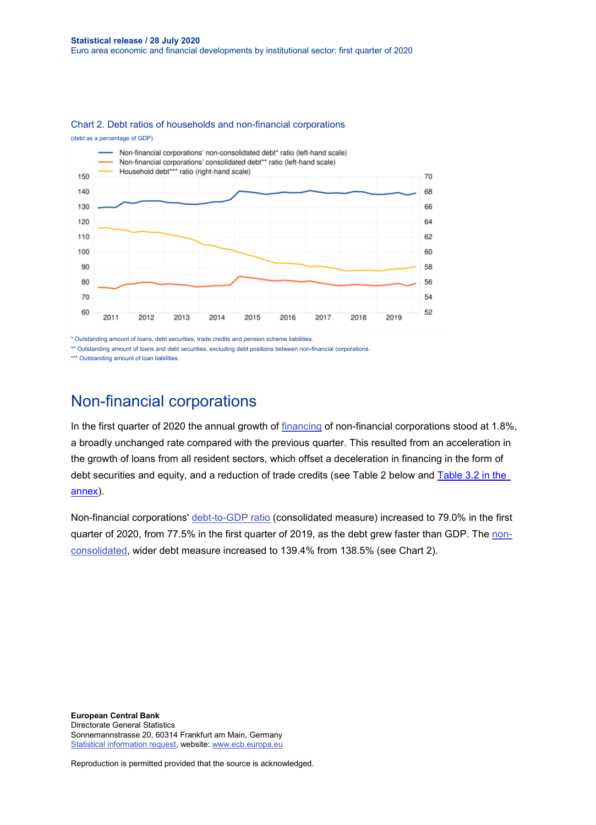

(debt as a percentage of GDP)



\* Outstanding amount of loans, debt securities, trade credits and pension scheme liabilities.

\*\* Outstanding amount of loans and debt securities, excluding debt positions between non-financial corporations

\*\*\* Outstanding amount of loan liabilities

## Non-financial corporations

In the first quarter of 2020 the annual growth of [financing](http://sdw.ecb.europa.eu/quickview.do?SERIES_KEY=332.QSA.Q.N.I8.W0.S11.S1.N.L.F.F._Z._Z.XDC._T.S.V.N._T) of non-financial corporations stood at 1.8%, a broadly unchanged rate compared with the previous quarter. This resulted from an acceleration in the growth of loans from all resident sectors, which offset a deceleration in financing in the form of debt securities and equity, and a reduction of trade credits (see Table 2 below and [Table 3.2 in the](http://sdw.ecb.europa.eu/web/generator/prl/pr_qsa_0201_2020q1.pdf)  [annex\)](http://sdw.ecb.europa.eu/web/generator/prl/pr_qsa_0201_2020q1.pdf).

Non-financial corporations' [debt-to-GDP ratio](https://sdw.ecb.europa.eu/quickview.do?SERIES_KEY=332.QSA.Q.N.I8.W0.S11.S1.C.L.LE.F3T4.T._Z.XDC_R_B1GQ_CY._T.S.V.N._T) (consolidated measure) increased to 79.0% in the first quarter of 2020, from 77.5% in the first quarter of 2019, as the debt grew faster than GDP. Th[e non](https://sdw.ecb.europa.eu/quickview.do?SERIES_KEY=332.QSA.Q.N.I8.W0.S11.S1.N.L.LE.FPT.T._Z.XDC_R_B1GQ_CY._T.S.V.N._T)[consolidated,](https://sdw.ecb.europa.eu/quickview.do?SERIES_KEY=332.QSA.Q.N.I8.W0.S11.S1.N.L.LE.FPT.T._Z.XDC_R_B1GQ_CY._T.S.V.N._T) wider debt measure increased to 139.4% from 138.5% (see Chart 2).

**European Central Bank** Directorate General Statistics Sonnemannstrasse 20, 60314 Frankfurt am Main, Germany [Statistical information request,](https://ecb-registration.escb.eu/statistical-information) website: [www.ecb.europa.eu](http://www.ecb.europa.eu/)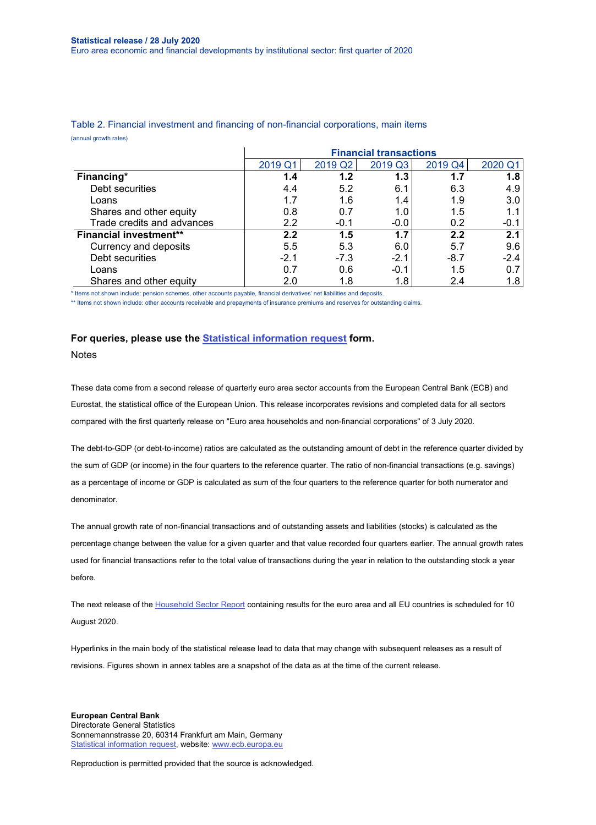|                               | <b>Financial transactions</b> |         |         |         |         |  |  |
|-------------------------------|-------------------------------|---------|---------|---------|---------|--|--|
|                               | 2019 Q                        | 2019 Q2 | 2019 Q3 | 2019 Q4 | 2020 Q1 |  |  |
| Financing*                    | 1.4                           | 1.2     | 1.3     | 1.7     | 1.8     |  |  |
| Debt securities               | 4.4                           | 5.2     | 6.1     | 6.3     | 4.9     |  |  |
| Loans                         | 1.7                           | 1.6     | 1.4     | 1.9     | 3.0     |  |  |
| Shares and other equity       | 0.8                           | 0.7     | 1.0     | 1.5     | 1.1     |  |  |
| Trade credits and advances    | 2.2                           | $-0.1$  | $-0.0$  | 0.2     | $-0.1$  |  |  |
| <b>Financial investment**</b> | 2.2                           | 1.5     | 1.7     | 2.2     | 2.1     |  |  |
| Currency and deposits         | 5.5                           | 5.3     | 6.0     | 5.7     | 9.6     |  |  |
| Debt securities               | $-2.1$                        | $-7.3$  | $-2.1$  | $-8.7$  | $-2.4$  |  |  |
| Loans                         | 0.7                           | 0.6     | $-0.1$  | 1.5     | 0.7     |  |  |
| Shares and other equity       | 2.0                           | 1.8     | 1.8     | 2.4     | 1.8     |  |  |

Table 2. Financial investment and financing of non-financial corporations, main items (annual growth rates)

\* Items not shown include: pension schemes, other accounts payable, financial derivatives' net liabilities and deposits.

\*\* Items not shown include: other accounts receivable and prepayments of insurance premiums and reserves for outstanding claims.

#### **For queries, please use the [Statistical information request](https://ecb-registration.escb.eu/statistical-information) form.**

**Notes** 

These data come from a second release of quarterly euro area sector accounts from the European Central Bank (ECB) and Eurostat, the statistical office of the European Union. This release incorporates revisions and completed data for all sectors compared with the first quarterly release on "Euro area households and non-financial corporations" of 3 July 2020.

The debt-to-GDP (or debt-to-income) ratios are calculated as the outstanding amount of debt in the reference quarter divided by the sum of GDP (or income) in the four quarters to the reference quarter. The ratio of non-financial transactions (e.g. savings) as a percentage of income or GDP is calculated as sum of the four quarters to the reference quarter for both numerator and denominator.

The annual growth rate of non-financial transactions and of outstanding assets and liabilities (stocks) is calculated as the percentage change between the value for a given quarter and that value recorded four quarters earlier. The annual growth rates used for financial transactions refer to the total value of transactions during the year in relation to the outstanding stock a year before.

The next release of the [Household Sector Report](http://sdw.ecb.europa.eu/reports.do?node=1000004952) containing results for the euro area and all EU countries is scheduled for 10 August 2020.

Hyperlinks in the main body of the statistical release lead to data that may change with subsequent releases as a result of revisions. Figures shown in annex tables are a snapshot of the data as at the time of the current release.

**European Central Bank** Directorate General Statistics Sonnemannstrasse 20, 60314 Frankfurt am Main, Germany [Statistical information request,](https://ecb-registration.escb.eu/statistical-information) website: [www.ecb.europa.eu](http://www.ecb.europa.eu/)